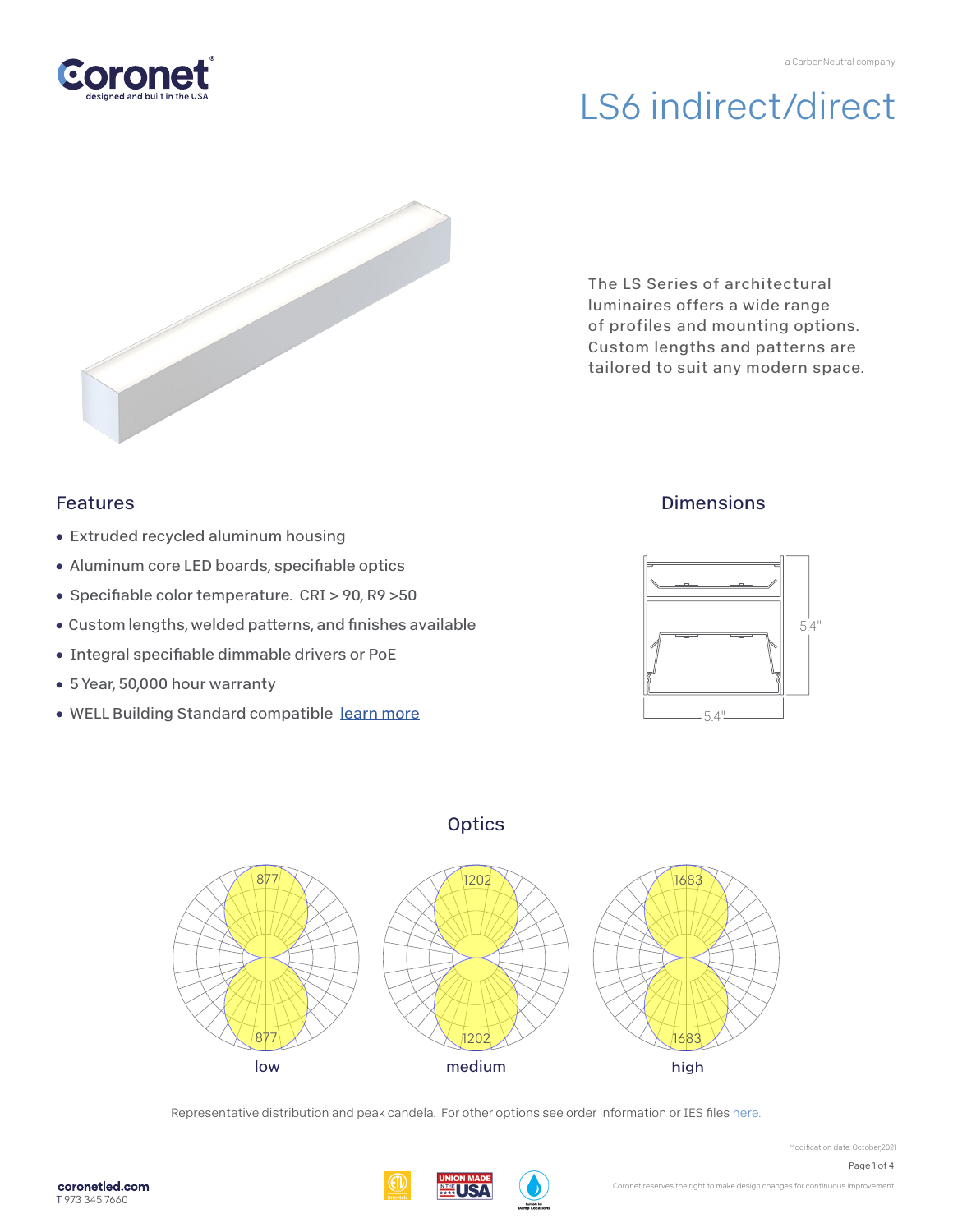

# LS6 indirect/direct



The LS Series of architectural luminaires offers a wide range of profiles and mounting options. Custom lengths and patterns are tailored to suit any modern space.

## Features

- Extruded recycled aluminum housing
- Aluminum core LED boards, specifiable optics
- Specifiable color temperature. CRI > 90, R9 > 50
- Custom lengths, welded patterns, and finishes available
- Integral specifiable dimmable drivers or PoE
- 5 Year, 50,000 hour warranty
- WELL Building Standard compatibl[e learn more](https://coronetled.com/well-v2-standard/)

## **Dimensions**







Representative distribution and peak candela. For other options see order information or IES file[s here.](https://coronetled.com/downloads/)

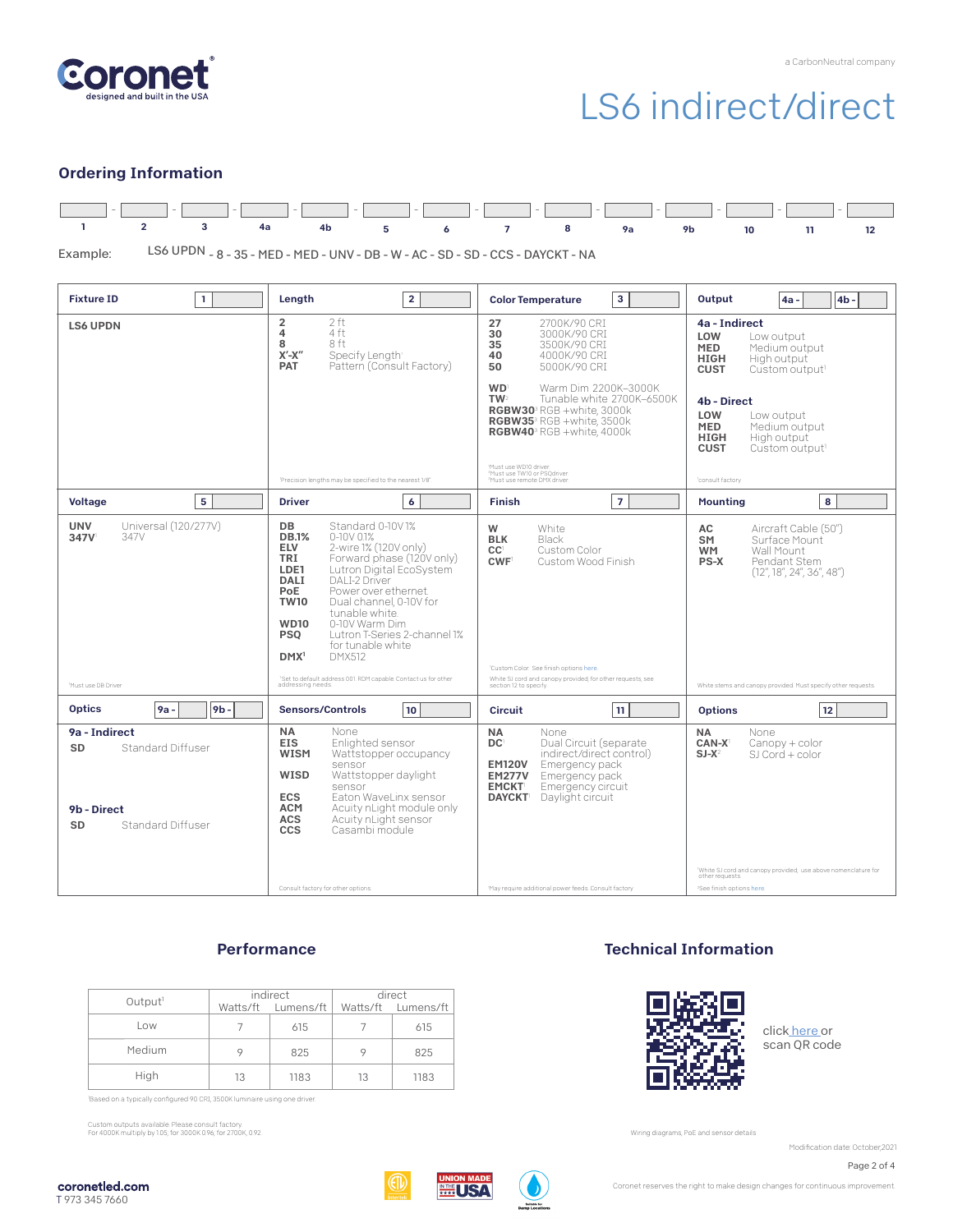

## LS6 indirect/direct

#### Ordering Information



LS6 UPDN - 8 - 35 - MED - MED - UNV - DB - W - AC - SD - SD - CCS - DAYCKT - NA Example:

| <b>Fixture ID</b><br>$\mathbf{1}$                                                         | Length<br>$\overline{2}$                                                                                                                                                                                                                                                                                                                                                                                                                                                                                           | 3<br><b>Color Temperature</b>                                                                                                                                                                                                           | Output<br>4 <sub>b</sub><br>4a -                                                                                                              |  |
|-------------------------------------------------------------------------------------------|--------------------------------------------------------------------------------------------------------------------------------------------------------------------------------------------------------------------------------------------------------------------------------------------------------------------------------------------------------------------------------------------------------------------------------------------------------------------------------------------------------------------|-----------------------------------------------------------------------------------------------------------------------------------------------------------------------------------------------------------------------------------------|-----------------------------------------------------------------------------------------------------------------------------------------------|--|
| <b>LS6 UPDN</b>                                                                           | $\overline{2}$<br>2 ft<br>$\overline{4}$<br>4 ft<br>8 ft<br>8<br>$X'$ - $X''$<br>Specify Length<br>Pattern (Consult Factory)<br><b>PAT</b>                                                                                                                                                                                                                                                                                                                                                                         | 27<br>2700K/90 CRI<br>30<br>3000K/90 CRI<br>35<br>3500K/90 CRI<br>40<br>4000K/90 CRT<br>50<br>5000K/90 CRI                                                                                                                              | 4a - Indirect<br>LOW<br>Low output<br><b>MED</b><br>Medium output<br><b>HIGH</b><br>High output<br><b>CUST</b><br>Custom output <sup>1</sup>  |  |
|                                                                                           |                                                                                                                                                                                                                                                                                                                                                                                                                                                                                                                    | <b>WD</b><br>Warm Dim 2200K-3000K<br>TW <sub>2</sub><br>Tunable white 2700K-6500K<br><b>RGBW30</b> <sup>3</sup> RGB +white. 3000k<br>RGBW35 <sup>3</sup> RGB +white, 3500k<br>RGBW40 <sup>3</sup> RGB +white, 4000k                     | 4b - Direct<br>LOW<br>Low output<br><b>MED</b><br>Medium output<br><b>HIGH</b><br>High output<br><b>CUST</b><br>Custom output <sup>1</sup>    |  |
|                                                                                           | 'Precision lengths may be specified to the nearest 1/8".                                                                                                                                                                                                                                                                                                                                                                                                                                                           | Must use WD10 driver.<br><sup>2</sup> Must use TW10 or PSQdriver.<br>Must use remote DMX driver.                                                                                                                                        | 'consult factory                                                                                                                              |  |
| 5<br><b>Voltage</b>                                                                       | <b>Driver</b><br>6                                                                                                                                                                                                                                                                                                                                                                                                                                                                                                 | $\overline{7}$<br><b>Finish</b>                                                                                                                                                                                                         | 8<br><b>Mounting</b>                                                                                                                          |  |
| Universal (120/277V)<br><b>UNV</b><br>347V<br>347V                                        | <b>DB</b><br>Standard 0-10V1%<br><b>DB.1%</b><br>$0-10V$ $01%$<br><b>ELV</b><br>2-wire 1% (120V only)<br>TRI<br>Forward phase (120V only)<br>Lutron Digital EcoSystem<br>LDE1<br><b>DALI</b><br><b>DALI-2 Driver</b><br>Power over ethernet.<br>PoE<br><b>TW10</b><br>Dual channel, 0-10V for<br>tunable white<br>0-10V Warm Dim<br><b>WD10</b><br>Lutron T-Series 2-channel 1%<br><b>PSO</b><br>for tunable white<br>DMX <sup>1</sup><br>DMX512<br>'Set to default address 001. RDM capable. Contact us for other | W<br>White<br><b>BLK</b><br>Black<br>CC <sup>1</sup><br>Custom Color<br>CWF <sup>1</sup><br>Custom Wood Finish<br>'Custom Color. See finish options here.<br>White SJ cord and canopy provided; for other requests, see                 | Aircraft Cable (50")<br>AC<br><b>SM</b><br>Surface Mount<br>Wall Mount<br><b>WM</b><br>PS-X<br>Pendant Stem<br>(12'', 18'', 24'', 36'', 48'') |  |
| Must use DB Driver                                                                        | addressing needs.                                                                                                                                                                                                                                                                                                                                                                                                                                                                                                  | section 12 to specify                                                                                                                                                                                                                   | White stems and canopy provided. Must specify other requests.                                                                                 |  |
| 9 <b>b</b><br><b>Optics</b><br>9a -                                                       | 10<br><b>Sensors/Controls</b>                                                                                                                                                                                                                                                                                                                                                                                                                                                                                      | 11<br>Circuit                                                                                                                                                                                                                           | 12<br><b>Options</b>                                                                                                                          |  |
| 9a - Indirect<br>SD<br>Standard Diffuser<br>9b - Direct<br><b>Standard Diffuser</b><br>SD | <b>NA</b><br>None<br><b>EIS</b><br>Enlighted sensor<br><b>WISM</b><br>Wattstopper occupancy<br>sensor<br>WISD<br>Wattstopper daylight<br>sensor<br><b>ECS</b><br>Eaton WaveLinx sensor<br><b>ACM</b><br>Acuity nLight module only<br><b>ACS</b><br>Acuity nLight sensor<br><b>CCS</b><br>Casambi module                                                                                                                                                                                                            | <b>NA</b><br>None<br>DC <sup>1</sup><br>Dual Circuit (separate<br>indirect/direct control)<br>Emergency pack<br><b>EM120V</b><br><b>EM277V</b><br>Emergency pack<br><b>EMCKT</b><br>Emergency circuit<br><b>DAYCKT</b> Daylight circuit | <b>NA</b><br>None<br>$CAN-X$<br>Canopy + color<br>$SI-X^2$<br>SJ Cord + color                                                                 |  |
|                                                                                           | Consult factory for other options.                                                                                                                                                                                                                                                                                                                                                                                                                                                                                 | 'May require additional power feeds. Consult factory                                                                                                                                                                                    | 'White SJ cord and canopy provided; use above nomenclature for<br>other requests.<br><sup>2</sup> See finish options here.                    |  |

### **Performance**

| Output <sup>1</sup> | indirect |                                       | direct |      |
|---------------------|----------|---------------------------------------|--------|------|
|                     |          | Watts/ft Lumens/ft Watts/ft Lumens/ft |        |      |
| Low                 |          | 615                                   |        | 615  |
| Medium              |          | 825                                   |        | 825  |
| High                | 13       | 1183                                  | 13     | 1183 |

'Based on a typically configured 90 CRI, 3500K luminaire using one driver.

Custom outputs available. Please consult factory. For 4000K multiply by 1.05; for 3000K 0.96; for 2700K, 0.92.

### Technical Information



clic[k here o](https://coronetled.com/warranty-technical-info/)r scan QR code

Wiring diagrams, PoE and sensor details

Modification date: October,2021

Page 2 of 4

coronetled.com T 973 345 7660





Coronet reserves the right to make design changes for continuous improvement.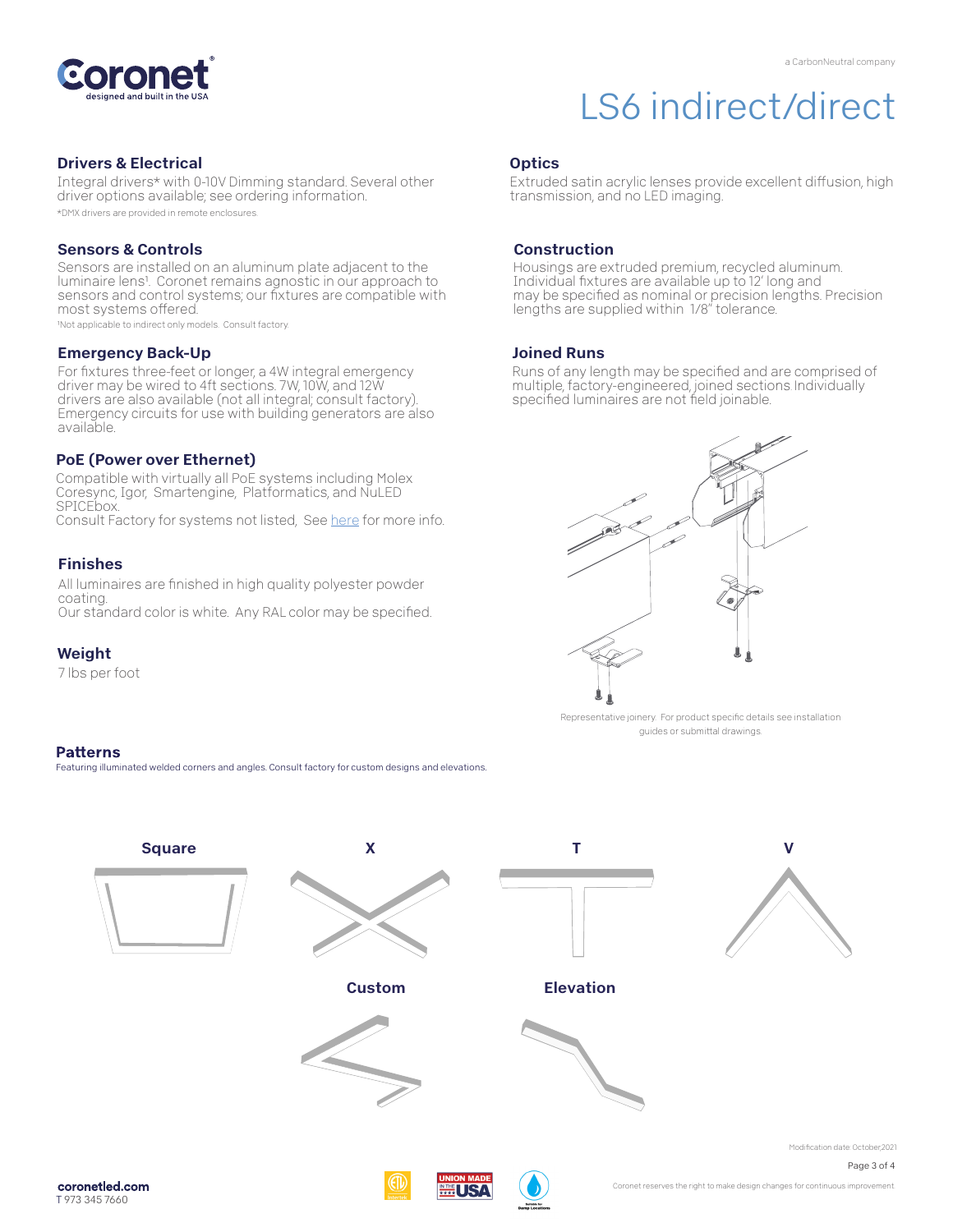

### Drivers & Electrical

Integral drivers\* with 0-10V Dimming standard. Several other driver options available; see ordering information.

\*DMX drivers are provided in remote enclosures.

#### Sensors & Controls

Sensors are installed on an aluminum plate adjacent to the luminaire lens1. Coronet remains agnostic in our approach to sensors and control systems; our fixtures are compatible with most systems offered.

1Not applicable to indirect only models. Consult factory.

#### Emergency Back-Up

For fixtures three-feet or longer, a 4W integral emergency driver may be wired to 4ft sections. 7W, 10W, and 12W drivers are also available (not all integral; consult factory). Emergency circuits for use with building generators are also available.

#### PoE (Power over Ethernet)

Compatible with virtually all PoE systems including Molex Coresync, Igor, Smartengine, Platformatics, and NuLED SPICEbox. Consult Factory for systems not listed, Se[e here](https://coronetled.com/warranty-technical-info/) for more info.

#### Finishes

All luminaires are finished in high quality polyester powder coating. Our standard color is white. Any RAL color may be specified.

#### Weight

7 lbs per foot

#### **Patterns**

Featuring illuminated welded corners and angles. Consult factory for custom designs and elevations

## LS6 indirect/direct

#### **Optics**

Extruded satin acrylic lenses provide excellent diffusion, high transmission, and no LED imaging.

#### Construction

Housings are extruded premium, recycled aluminum. Individual fixtures are available up to 12' long and may be specified as nominal or precision lengths. Precision lengths are supplied within 1/8" tolerance.

#### Joined Runs

Runs of any length may be specified and are comprised of multiple, factory-engineered, joined sections. Individually specified luminaires are not field joinable.



Representative joinery. For product specific details see installation guides or submittal drawings.



WI IS A